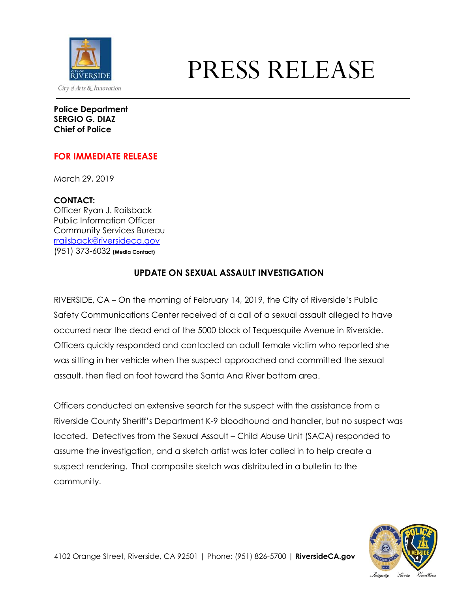

## PRESS RELEASE

**Police Department SERGIO G. DIAZ Chief of Police**

## **FOR IMMEDIATE RELEASE**

March 29, 2019

**CONTACT:** Officer Ryan J. Railsback Public Information Officer Community Services Bureau [rrailsback@riversideca.gov](mailto:rrailsback@riversideca.gov) (951) 373-6032 **(Media Contact)**

## **UPDATE ON SEXUAL ASSAULT INVESTIGATION**

RIVERSIDE, CA – On the morning of February 14, 2019, the City of Riverside's Public Safety Communications Center received of a call of a sexual assault alleged to have occurred near the dead end of the 5000 block of Tequesquite Avenue in Riverside. Officers quickly responded and contacted an adult female victim who reported she was sitting in her vehicle when the suspect approached and committed the sexual assault, then fled on foot toward the Santa Ana River bottom area.

Officers conducted an extensive search for the suspect with the assistance from a Riverside County Sheriff's Department K-9 bloodhound and handler, but no suspect was located. Detectives from the Sexual Assault – Child Abuse Unit (SACA) responded to assume the investigation, and a sketch artist was later called in to help create a suspect rendering. That composite sketch was distributed in a bulletin to the community.